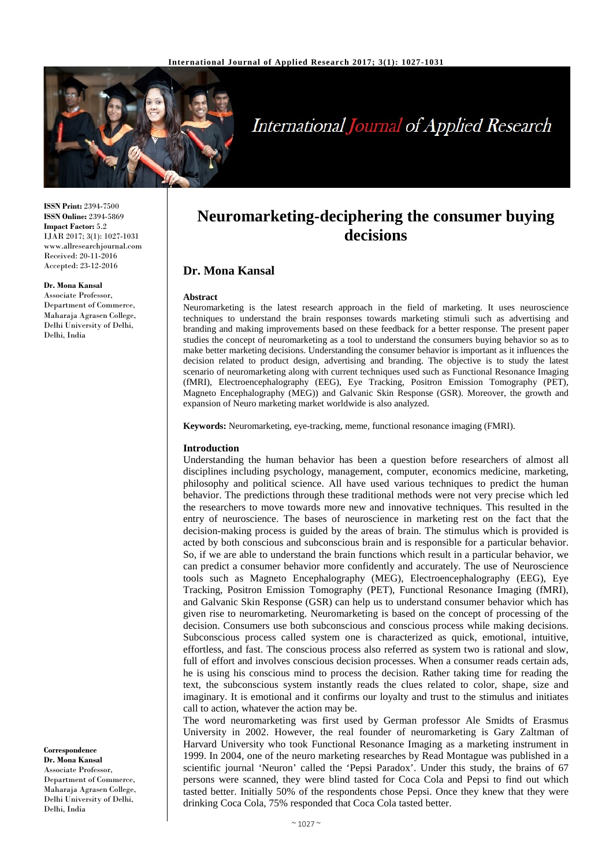

# **International Journal of Applied Research**

**ISSN Print:** 2394-7500 **ISSN Online:** 2394-5869 **Impact Factor:** 5.2 IJAR 2017; 3(1): 1027-1031 www.allresearchjournal.com Received: 20-11-2016 Accepted: 23-12-2016

#### **Dr. Mona Kansal**

Associate Professor, Department of Commerce, Maharaja Agrasen College, Delhi University of Delhi, Delhi, India

**Correspondence Dr. Mona Kansal** Associate Professor, Department of Commerce, Maharaja Agrasen College, Delhi University of Delhi, Delhi, India

# **Neuromarketing-deciphering the consumer buying decisions**

# **Dr. Mona Kansal**

#### **Abstract**

Neuromarketing is the latest research approach in the field of marketing. It uses neuroscience techniques to understand the brain responses towards marketing stimuli such as advertising and branding and making improvements based on these feedback for a better response. The present paper studies the concept of neuromarketing as a tool to understand the consumers buying behavior so as to make better marketing decisions. Understanding the consumer behavior is important as it influences the decision related to product design, advertising and branding. The objective is to study the latest scenario of neuromarketing along with current techniques used such as Functional Resonance Imaging (fMRI), Electroencephalography (EEG), Eye Tracking, Positron Emission Tomography (PET), Magneto Encephalography (MEG)) and Galvanic Skin Response (GSR). Moreover, the growth and expansion of Neuro marketing market worldwide is also analyzed.

**Keywords:** Neuromarketing, eye-tracking, meme, functional resonance imaging (FMRI).

#### **Introduction**

Understanding the human behavior has been a question before researchers of almost all disciplines including psychology, management, computer, economics medicine, marketing, philosophy and political science. All have used various techniques to predict the human behavior. The predictions through these traditional methods were not very precise which led the researchers to move towards more new and innovative techniques. This resulted in the entry of neuroscience. The bases of neuroscience in marketing rest on the fact that the decision-making process is guided by the areas of brain. The stimulus which is provided is acted by both conscious and subconscious brain and is responsible for a particular behavior. So, if we are able to understand the brain functions which result in a particular behavior, we can predict a consumer behavior more confidently and accurately. The use of Neuroscience tools such as Magneto Encephalography (MEG), Electroencephalography (EEG), Eye Tracking, Positron Emission Tomography (PET), Functional Resonance Imaging (fMRI), and Galvanic Skin Response (GSR) can help us to understand consumer behavior which has given rise to neuromarketing. Neuromarketing is based on the concept of processing of the decision. Consumers use both subconscious and conscious process while making decisions. Subconscious process called system one is characterized as quick, emotional, intuitive, effortless, and fast. The conscious process also referred as system two is rational and slow, full of effort and involves conscious decision processes. When a consumer reads certain ads, he is using his conscious mind to process the decision. Rather taking time for reading the text, the subconscious system instantly reads the clues related to color, shape, size and imaginary. It is emotional and it confirms our loyalty and trust to the stimulus and initiates call to action, whatever the action may be.

The word neuromarketing was first used by German professor Ale Smidts of Erasmus University in 2002. However, the real founder of neuromarketing is Gary Zaltman of Harvard University who took Functional Resonance Imaging as a marketing instrument in 1999. In 2004, one of the neuro marketing researches by Read Montague was published in a scientific journal 'Neuron' called the 'Pepsi Paradox'. Under this study, the brains of 67 persons were scanned, they were blind tasted for Coca Cola and Pepsi to find out which tasted better. Initially 50% of the respondents chose Pepsi. Once they knew that they were drinking Coca Cola, 75% responded that Coca Cola tasted better.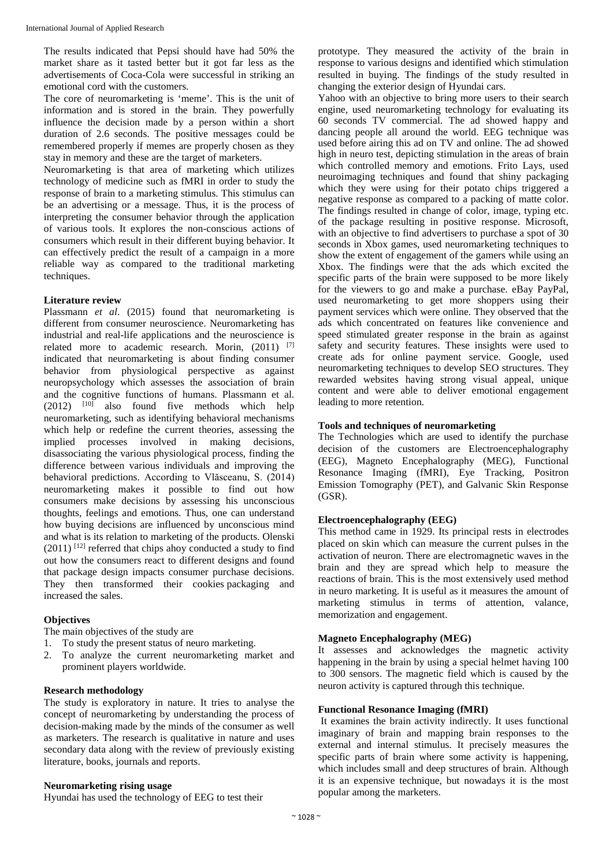The results indicated that Pepsi should have had 50% the market share as it tasted better but it got far less as the advertisements of Coca-Cola were successful in striking an emotional cord with the customers.

The core of neuromarketing is 'meme'. This is the unit of information and is stored in the brain. They powerfully influence the decision made by a person within a short duration of 2.6 seconds. The positive messages could be remembered properly if memes are properly chosen as they stay in memory and these are the target of marketers.

Neuromarketing is that area of marketing which utilizes technology of medicine such as fMRI in order to study the response of brain to a marketing stimulus. This stimulus can be an advertising or a message. Thus, it is the process of interpreting the consumer behavior through the application of various tools. It explores the non-conscious actions of consumers which result in their different buying behavior. It can effectively predict the result of a campaign in a more reliable way as compared to the traditional marketing techniques.

#### **Literature review**

Plassmann *et al*. (2015) found that neuromarketing is different from consumer neuroscience. Neuromarketing has industrial and real-life applications and the neuroscience is related more to academic research. Morin, (2011) [7] indicated that neuromarketing is about finding consumer behavior from physiological perspective as against neuropsychology which assesses the association of brain and the cognitive functions of humans. Plassmann et al.  $(2012)$   $[10]$  also found five methods which help neuromarketing, such as identifying behavioral mechanisms which help or redefine the current theories, assessing the implied processes involved in making decisions, disassociating the various physiological process, finding the difference between various individuals and improving the behavioral predictions. According to Vlăsceanu, S. (2014) neuromarketing makes it possible to find out how consumers make decisions by assessing his unconscious thoughts, feelings and emotions. Thus, one can understand how buying decisions are influenced by unconscious mind and what is its relation to marketing of the products. Olenski  $(2011)$  [12] referred that chips ahoy conducted a study to find out how the consumers react to different designs and found that package design impacts consumer purchase decisions. They then transformed their cookies packaging and increased the sales.

### **Objectives**

The main objectives of the study are

- 1. To study the present status of neuro marketing.
- 2. To analyze the current neuromarketing market and prominent players worldwide.

## **Research methodology**

The study is exploratory in nature. It tries to analyse the concept of neuromarketing by understanding the process of decision-making made by the minds of the consumer as well as marketers. The research is qualitative in nature and uses secondary data along with the review of previously existing literature, books, journals and reports.

#### **Neuromarketing rising usage**

Hyundai has used the technology of EEG to test their

prototype. They measured the activity of the brain in response to various designs and identified which stimulation resulted in buying. The findings of the study resulted in changing the exterior design of Hyundai cars.

Yahoo with an objective to bring more users to their search engine, used neuromarketing technology for evaluating its 60 seconds TV commercial. The ad showed happy and dancing people all around the world. EEG technique was used before airing this ad on TV and online. The ad showed high in neuro test, depicting stimulation in the areas of brain which controlled memory and emotions. Frito Lays, used neuroimaging techniques and found that shiny packaging which they were using for their potato chips triggered a negative response as compared to a packing of matte color. The findings resulted in change of color, image, typing etc. of the package resulting in positive response. Microsoft, with an objective to find advertisers to purchase a spot of 30 seconds in Xbox games, used neuromarketing techniques to show the extent of engagement of the gamers while using an Xbox. The findings were that the ads which excited the specific parts of the brain were supposed to be more likely for the viewers to go and make a purchase. eBay PayPal, used neuromarketing to get more shoppers using their payment services which were online. They observed that the ads which concentrated on features like convenience and speed stimulated greater response in the brain as against safety and security features. These insights were used to create ads for online payment service. Google, used neuromarketing techniques to develop SEO structures. They rewarded websites having strong visual appeal, unique content and were able to deliver emotional engagement leading to more retention.

### **Tools and techniques of neuromarketing**

The Technologies which are used to identify the purchase decision of the customers are Electroencephalography (EEG), Magneto Encephalography (MEG), Functional Resonance Imaging (fMRI), Eye Tracking, Positron Emission Tomography (PET), and Galvanic Skin Response (GSR).

#### **Electroencephalography (EEG)**

This method came in 1929. Its principal rests in electrodes placed on skin which can measure the current pulses in the activation of neuron. There are electromagnetic waves in the brain and they are spread which help to measure the reactions of brain. This is the most extensively used method in neuro marketing. It is useful as it measures the amount of marketing stimulus in terms of attention, valance, memorization and engagement.

## **Magneto Encephalography (MEG)**

It assesses and acknowledges the magnetic activity happening in the brain by using a special helmet having 100 to 300 sensors. The magnetic field which is caused by the neuron activity is captured through this technique.

#### **Functional Resonance Imaging (fMRI)**

It examines the brain activity indirectly. It uses functional imaginary of brain and mapping brain responses to the external and internal stimulus. It precisely measures the specific parts of brain where some activity is happening, which includes small and deep structures of brain. Although it is an expensive technique, but nowadays it is the most popular among the marketers.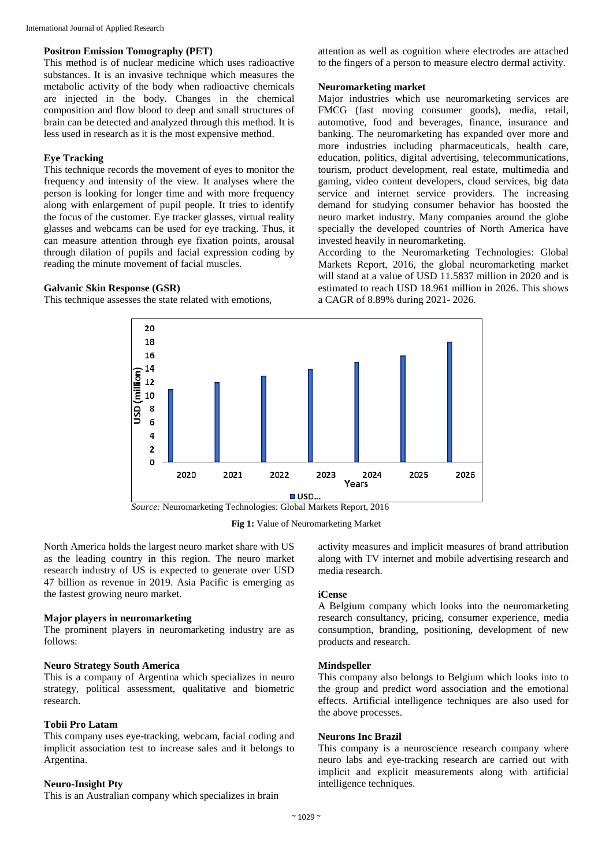## **Positron Emission Tomography (PET)**

This method is of nuclear medicine which uses radioactive substances. It is an invasive technique which measures the metabolic activity of the body when radioactive chemicals are injected in the body. Changes in the chemical composition and flow blood to deep and small structures of brain can be detected and analyzed through this method. It is less used in research as it is the most expensive method.

## **Eye Tracking**

This technique records the movement of eyes to monitor the frequency and intensity of the view. It analyses where the person is looking for longer time and with more frequency along with enlargement of pupil people. It tries to identify the focus of the customer. Eye tracker glasses, virtual reality glasses and webcams can be used for eye tracking. Thus, it can measure attention through eye fixation points, arousal through dilation of pupils and facial expression coding by reading the minute movement of facial muscles.

#### **Galvanic Skin Response (GSR)**

This technique assesses the state related with emotions,

attention as well as cognition where electrodes are attached to the fingers of a person to measure electro dermal activity.

## **Neuromarketing market**

Major industries which use neuromarketing services are FMCG (fast moving consumer goods), media, retail, automotive, food and beverages, finance, insurance and banking. The neuromarketing has expanded over more and more industries including pharmaceuticals, health care, education, politics, digital advertising, telecommunications, tourism, product development, real estate, multimedia and gaming, video content developers, cloud services, big data service and internet service providers. The increasing demand for studying consumer behavior has boosted the neuro market industry. Many companies around the globe specially the developed countries of North America have invested heavily in neuromarketing.

According to the Neuromarketing Technologies: Global Markets Report, 2016, the global neuromarketing market will stand at a value of USD 11.5837 million in 2020 and is estimated to reach USD 18.961 million in 2026. This shows a CAGR of 8.89% during 2021- 2026.



**Fig 1:** Value of Neuromarketing Market

North America holds the largest neuro market share with US as the leading country in this region. The neuro market research industry of US is expected to generate over USD 47 billion as revenue in 2019. Asia Pacific is emerging as the fastest growing neuro market.

# **Major players in neuromarketing**

The prominent players in neuromarketing industry are as follows:

#### **Neuro Strategy South America**

This is a company of Argentina which specializes in neuro strategy, political assessment, qualitative and biometric research.

#### **Tobii Pro Latam**

This company uses eye-tracking, webcam, facial coding and implicit association test to increase sales and it belongs to Argentina.

#### **Neuro-Insight Pty**

This is an Australian company which specializes in brain

activity measures and implicit measures of brand attribution along with TV internet and mobile advertising research and media research.

# **iCense**

A Belgium company which looks into the neuromarketing research consultancy, pricing, consumer experience, media consumption, branding, positioning, development of new products and research.

#### **Mindspeller**

This company also belongs to Belgium which looks into to the group and predict word association and the emotional effects. Artificial intelligence techniques are also used for the above processes.

#### **Neurons Inc Brazil**

This company is a neuroscience research company where neuro labs and eye-tracking research are carried out with implicit and explicit measurements along with artificial intelligence techniques.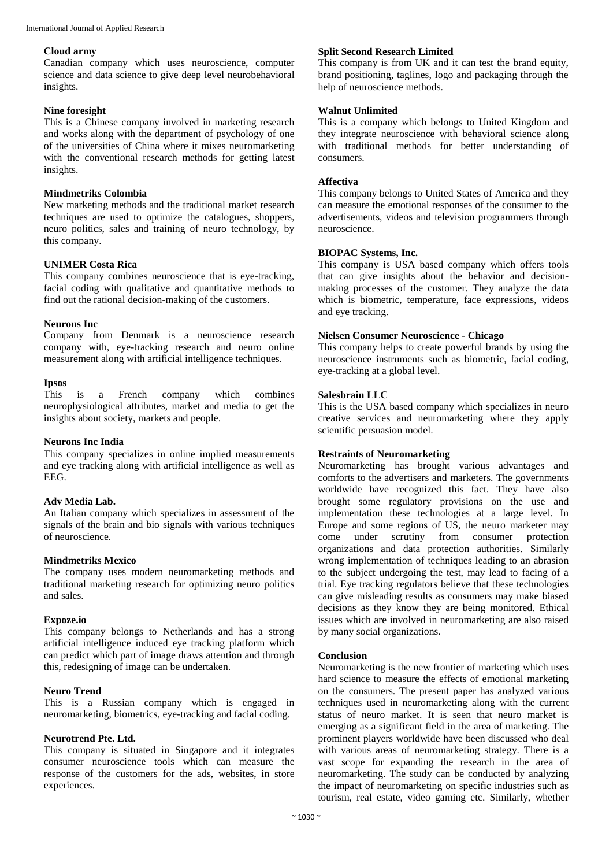## **Cloud army**

Canadian company which uses neuroscience, computer science and data science to give deep level neurobehavioral insights.

## **Nine foresight**

This is a Chinese company involved in marketing research and works along with the department of psychology of one of the universities of China where it mixes neuromarketing with the conventional research methods for getting latest insights.

## **Mindmetriks Colombia**

New marketing methods and the traditional market research techniques are used to optimize the catalogues, shoppers, neuro politics, sales and training of neuro technology, by this company.

# **UNIMER Costa Rica**

This company combines neuroscience that is eye-tracking, facial coding with qualitative and quantitative methods to find out the rational decision-making of the customers.

## **Neurons Inc**

Company from Denmark is a neuroscience research company with, eye-tracking research and neuro online measurement along with artificial intelligence techniques.

# **Ipsos**

is a French company which combines neurophysiological attributes, market and media to get the insights about society, markets and people.

# **Neurons Inc India**

This company specializes in online implied measurements and eye tracking along with artificial intelligence as well as EEG.

# **Adv Media Lab.**

An Italian company which specializes in assessment of the signals of the brain and bio signals with various techniques of neuroscience.

# **Mindmetriks Mexico**

The company uses modern neuromarketing methods and traditional marketing research for optimizing neuro politics and sales.

#### **Expoze.io**

This company belongs to Netherlands and has a strong artificial intelligence induced eye tracking platform which can predict which part of image draws attention and through this, redesigning of image can be undertaken.

#### **Neuro Trend**

This is a Russian company which is engaged in neuromarketing, biometrics, eye-tracking and facial coding.

# **Neurotrend Pte. Ltd.**

This company is situated in Singapore and it integrates consumer neuroscience tools which can measure the response of the customers for the ads, websites, in store experiences.

# **Split Second Research Limited**

This company is from UK and it can test the brand equity, brand positioning, taglines, logo and packaging through the help of neuroscience methods.

## **Walnut Unlimited**

This is a company which belongs to United Kingdom and they integrate neuroscience with behavioral science along with traditional methods for better understanding of consumers.

## **Affectiva**

This company belongs to United States of America and they can measure the emotional responses of the consumer to the advertisements, videos and television programmers through neuroscience.

# **BIOPAC Systems, Inc.**

This company is USA based company which offers tools that can give insights about the behavior and decisionmaking processes of the customer. They analyze the data which is biometric, temperature, face expressions, videos and eye tracking.

## **Nielsen Consumer Neuroscience - Chicago**

This company helps to create powerful brands by using the neuroscience instruments such as biometric, facial coding, eye-tracking at a global level.

## **Salesbrain LLC**

This is the USA based company which specializes in neuro creative services and neuromarketing where they apply scientific persuasion model.

# **Restraints of Neuromarketing**

Neuromarketing has brought various advantages and comforts to the advertisers and marketers. The governments worldwide have recognized this fact. They have also brought some regulatory provisions on the use and implementation these technologies at a large level. In Europe and some regions of US, the neuro marketer may come under scrutiny from consumer protection organizations and data protection authorities. Similarly wrong implementation of techniques leading to an abrasion to the subject undergoing the test, may lead to facing of a trial. Eye tracking regulators believe that these technologies can give misleading results as consumers may make biased decisions as they know they are being monitored. Ethical issues which are involved in neuromarketing are also raised by many social organizations.

#### **Conclusion**

Neuromarketing is the new frontier of marketing which uses hard science to measure the effects of emotional marketing on the consumers. The present paper has analyzed various techniques used in neuromarketing along with the current status of neuro market. It is seen that neuro market is emerging as a significant field in the area of marketing. The prominent players worldwide have been discussed who deal with various areas of neuromarketing strategy. There is a vast scope for expanding the research in the area of neuromarketing. The study can be conducted by analyzing the impact of neuromarketing on specific industries such as tourism, real estate, video gaming etc. Similarly, whether